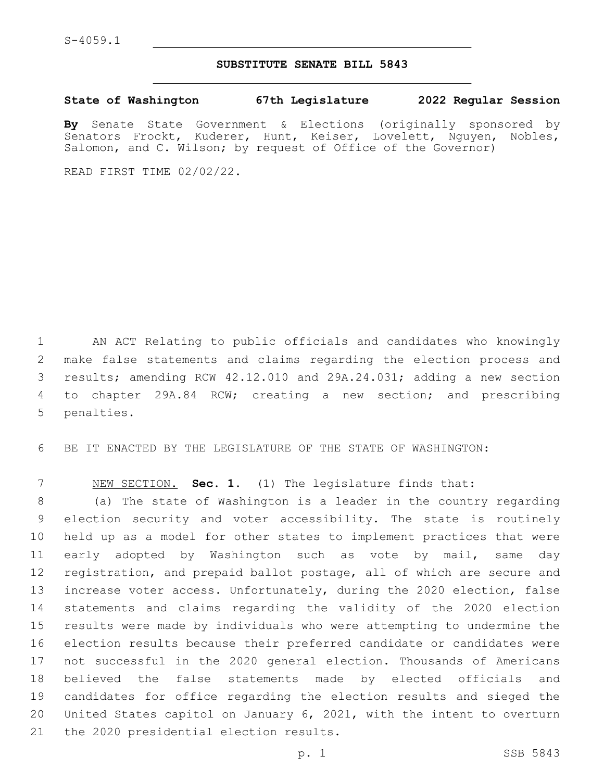## **SUBSTITUTE SENATE BILL 5843**

**State of Washington 67th Legislature 2022 Regular Session**

**By** Senate State Government & Elections (originally sponsored by Senators Frockt, Kuderer, Hunt, Keiser, Lovelett, Nguyen, Nobles, Salomon, and C. Wilson; by request of Office of the Governor)

READ FIRST TIME 02/02/22.

 AN ACT Relating to public officials and candidates who knowingly make false statements and claims regarding the election process and results; amending RCW 42.12.010 and 29A.24.031; adding a new section to chapter 29A.84 RCW; creating a new section; and prescribing 5 penalties.

BE IT ENACTED BY THE LEGISLATURE OF THE STATE OF WASHINGTON:

NEW SECTION. **Sec. 1.** (1) The legislature finds that:

 (a) The state of Washington is a leader in the country regarding election security and voter accessibility. The state is routinely held up as a model for other states to implement practices that were early adopted by Washington such as vote by mail, same day registration, and prepaid ballot postage, all of which are secure and increase voter access. Unfortunately, during the 2020 election, false statements and claims regarding the validity of the 2020 election results were made by individuals who were attempting to undermine the election results because their preferred candidate or candidates were not successful in the 2020 general election. Thousands of Americans believed the false statements made by elected officials and candidates for office regarding the election results and sieged the United States capitol on January 6, 2021, with the intent to overturn 21 the 2020 presidential election results.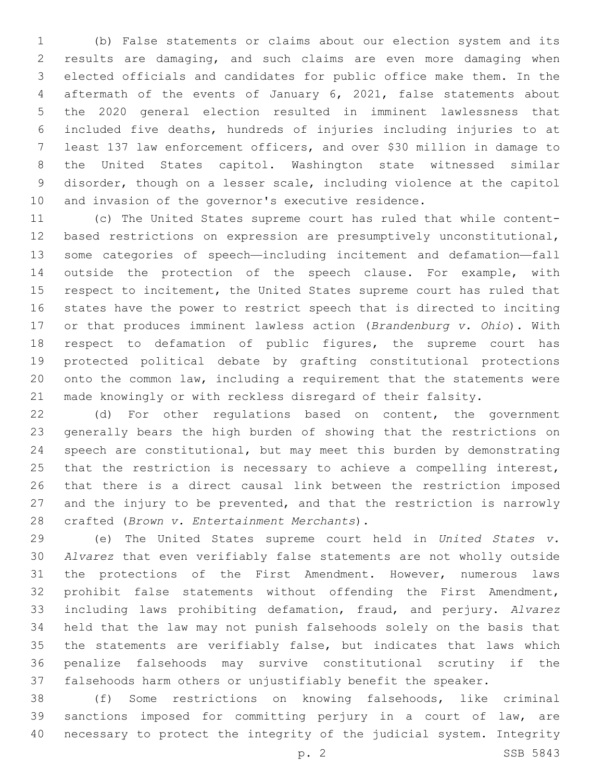(b) False statements or claims about our election system and its results are damaging, and such claims are even more damaging when elected officials and candidates for public office make them. In the aftermath of the events of January 6, 2021, false statements about the 2020 general election resulted in imminent lawlessness that included five deaths, hundreds of injuries including injuries to at least 137 law enforcement officers, and over \$30 million in damage to the United States capitol. Washington state witnessed similar disorder, though on a lesser scale, including violence at the capitol and invasion of the governor's executive residence.

 (c) The United States supreme court has ruled that while content- based restrictions on expression are presumptively unconstitutional, some categories of speech—including incitement and defamation—fall outside the protection of the speech clause. For example, with respect to incitement, the United States supreme court has ruled that states have the power to restrict speech that is directed to inciting or that produces imminent lawless action (*Brandenburg v. Ohio*). With respect to defamation of public figures, the supreme court has protected political debate by grafting constitutional protections onto the common law, including a requirement that the statements were made knowingly or with reckless disregard of their falsity.

 (d) For other regulations based on content, the government generally bears the high burden of showing that the restrictions on speech are constitutional, but may meet this burden by demonstrating 25 that the restriction is necessary to achieve a compelling interest, that there is a direct causal link between the restriction imposed and the injury to be prevented, and that the restriction is narrowly crafted (*Brown v. Entertainment Merchants*).28

 (e) The United States supreme court held in *United States v. Alvarez* that even verifiably false statements are not wholly outside the protections of the First Amendment. However, numerous laws prohibit false statements without offending the First Amendment, including laws prohibiting defamation, fraud, and perjury. *Alvarez*  held that the law may not punish falsehoods solely on the basis that the statements are verifiably false, but indicates that laws which penalize falsehoods may survive constitutional scrutiny if the falsehoods harm others or unjustifiably benefit the speaker.

 (f) Some restrictions on knowing falsehoods, like criminal sanctions imposed for committing perjury in a court of law, are necessary to protect the integrity of the judicial system. Integrity

p. 2 SSB 5843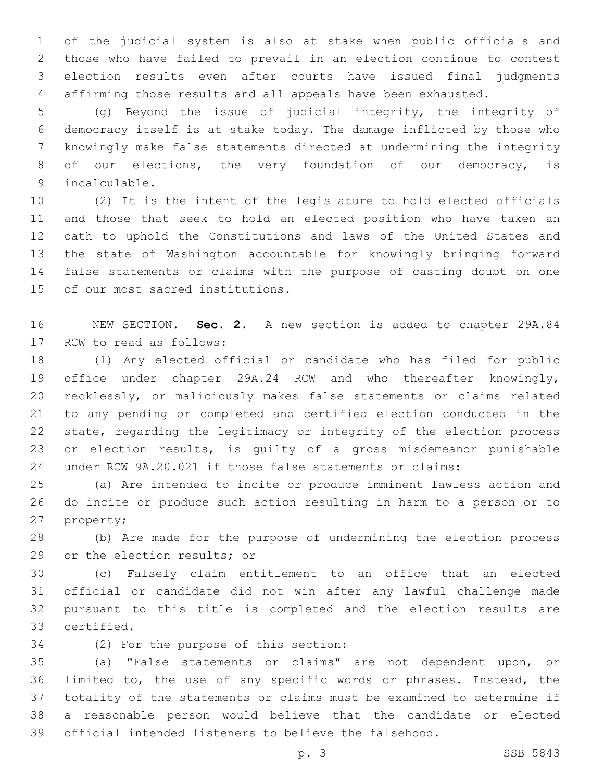of the judicial system is also at stake when public officials and those who have failed to prevail in an election continue to contest election results even after courts have issued final judgments affirming those results and all appeals have been exhausted.

 (g) Beyond the issue of judicial integrity, the integrity of democracy itself is at stake today. The damage inflicted by those who knowingly make false statements directed at undermining the integrity 8 of our elections, the very foundation of our democracy, is 9 incalculable.

 (2) It is the intent of the legislature to hold elected officials and those that seek to hold an elected position who have taken an oath to uphold the Constitutions and laws of the United States and the state of Washington accountable for knowingly bringing forward false statements or claims with the purpose of casting doubt on one 15 of our most sacred institutions.

 NEW SECTION. **Sec. 2.** A new section is added to chapter 29A.84 17 RCW to read as follows:

 (1) Any elected official or candidate who has filed for public office under chapter 29A.24 RCW and who thereafter knowingly, recklessly, or maliciously makes false statements or claims related to any pending or completed and certified election conducted in the state, regarding the legitimacy or integrity of the election process or election results, is guilty of a gross misdemeanor punishable under RCW 9A.20.021 if those false statements or claims:

 (a) Are intended to incite or produce imminent lawless action and do incite or produce such action resulting in harm to a person or to 27 property;

 (b) Are made for the purpose of undermining the election process 29 or the election results; or

 (c) Falsely claim entitlement to an office that an elected official or candidate did not win after any lawful challenge made pursuant to this title is completed and the election results are certified.33

34 (2) For the purpose of this section:

 (a) "False statements or claims" are not dependent upon, or limited to, the use of any specific words or phrases. Instead, the totality of the statements or claims must be examined to determine if a reasonable person would believe that the candidate or elected official intended listeners to believe the falsehood.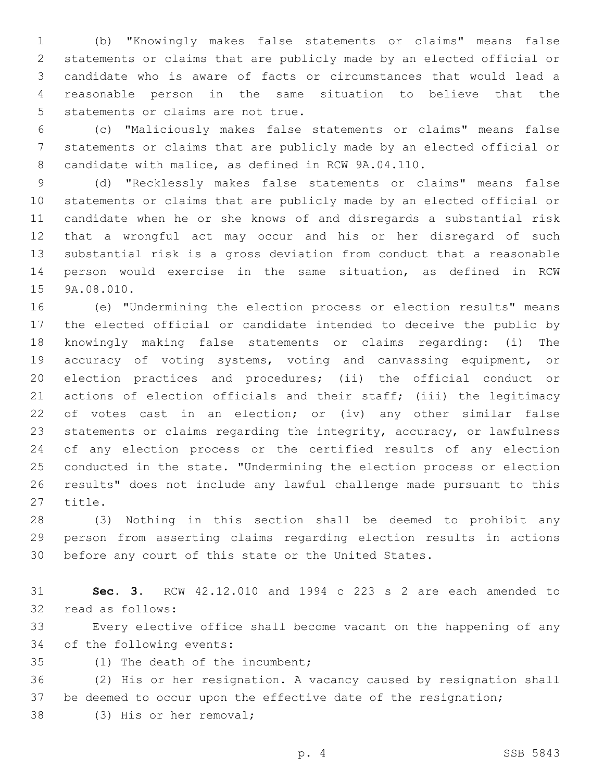(b) "Knowingly makes false statements or claims" means false statements or claims that are publicly made by an elected official or candidate who is aware of facts or circumstances that would lead a reasonable person in the same situation to believe that the 5 statements or claims are not true.

 (c) "Maliciously makes false statements or claims" means false statements or claims that are publicly made by an elected official or candidate with malice, as defined in RCW 9A.04.110.

 (d) "Recklessly makes false statements or claims" means false statements or claims that are publicly made by an elected official or candidate when he or she knows of and disregards a substantial risk that a wrongful act may occur and his or her disregard of such substantial risk is a gross deviation from conduct that a reasonable person would exercise in the same situation, as defined in RCW 15 9A.08.010.

 (e) "Undermining the election process or election results" means the elected official or candidate intended to deceive the public by knowingly making false statements or claims regarding: (i) The accuracy of voting systems, voting and canvassing equipment, or election practices and procedures; (ii) the official conduct or actions of election officials and their staff; (iii) the legitimacy of votes cast in an election; or (iv) any other similar false statements or claims regarding the integrity, accuracy, or lawfulness of any election process or the certified results of any election conducted in the state. "Undermining the election process or election results" does not include any lawful challenge made pursuant to this 27 title.

 (3) Nothing in this section shall be deemed to prohibit any person from asserting claims regarding election results in actions before any court of this state or the United States.

 **Sec. 3.** RCW 42.12.010 and 1994 c 223 s 2 are each amended to 32 read as follows:

 Every elective office shall become vacant on the happening of any 34 of the following events:

35 (1) The death of the incumbent;

 (2) His or her resignation. A vacancy caused by resignation shall 37 be deemed to occur upon the effective date of the resignation;

38 (3) His or her removal;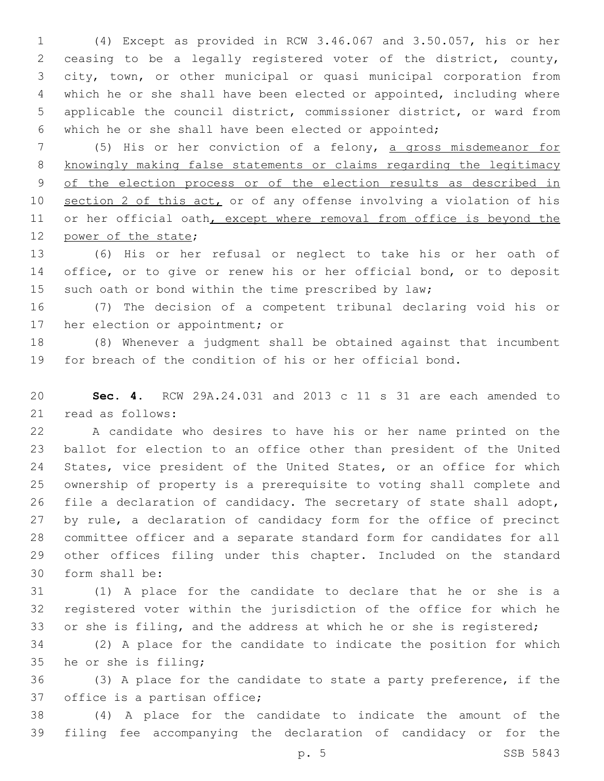(4) Except as provided in RCW 3.46.067 and 3.50.057, his or her ceasing to be a legally registered voter of the district, county, city, town, or other municipal or quasi municipal corporation from which he or she shall have been elected or appointed, including where applicable the council district, commissioner district, or ward from which he or she shall have been elected or appointed;

 (5) His or her conviction of a felony, a gross misdemeanor for knowingly making false statements or claims regarding the legitimacy of the election process or of the election results as described in section 2 of this act, or of any offense involving a violation of his 11 or her official oath, except where removal from office is beyond the 12 power of the state;

 (6) His or her refusal or neglect to take his or her oath of office, or to give or renew his or her official bond, or to deposit 15 such oath or bond within the time prescribed by law;

 (7) The decision of a competent tribunal declaring void his or 17 her election or appointment; or

 (8) Whenever a judgment shall be obtained against that incumbent for breach of the condition of his or her official bond.

 **Sec. 4.** RCW 29A.24.031 and 2013 c 11 s 31 are each amended to 21 read as follows:

 A candidate who desires to have his or her name printed on the ballot for election to an office other than president of the United States, vice president of the United States, or an office for which ownership of property is a prerequisite to voting shall complete and file a declaration of candidacy. The secretary of state shall adopt, by rule, a declaration of candidacy form for the office of precinct committee officer and a separate standard form for candidates for all other offices filing under this chapter. Included on the standard 30 form shall be:

 (1) A place for the candidate to declare that he or she is a registered voter within the jurisdiction of the office for which he or she is filing, and the address at which he or she is registered;

 (2) A place for the candidate to indicate the position for which 35 he or she is filing;

 (3) A place for the candidate to state a party preference, if the 37 office is a partisan office;

 (4) A place for the candidate to indicate the amount of the filing fee accompanying the declaration of candidacy or for the

p. 5 SSB 5843